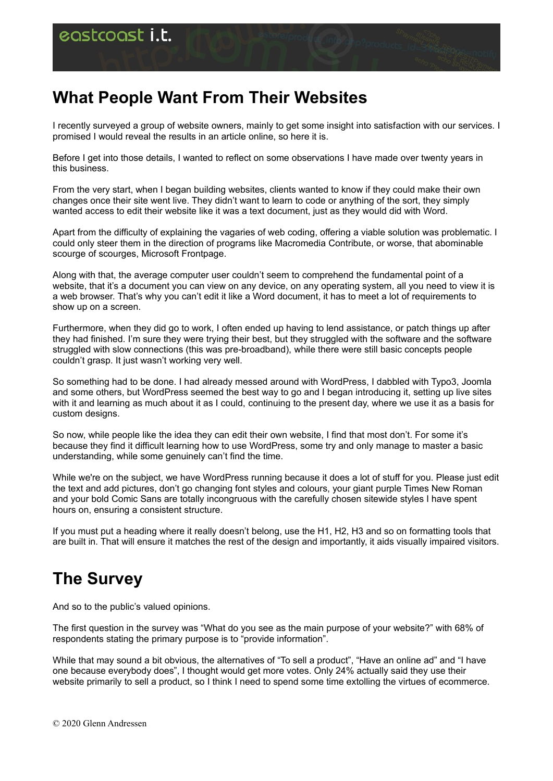## **What People Want From Their Websites**

I recently surveyed a group of website owners, mainly to get some insight into satisfaction with our services. I promised I would reveal the results in an article online, so here it is.

Before I get into those details, I wanted to reflect on some observations I have made over twenty years in this business.

From the very start, when I began building websites, clients wanted to know if they could make their own changes once their site went live. They didn't want to learn to code or anything of the sort, they simply wanted access to edit their website like it was a text document, just as they would did with Word.

Apart from the difficulty of explaining the vagaries of web coding, offering a viable solution was problematic. I could only steer them in the direction of programs like Macromedia Contribute, or worse, that abominable scourge of scourges, Microsoft Frontpage.

Along with that, the average computer user couldn't seem to comprehend the fundamental point of a website, that it's a document you can view on any device, on any operating system, all you need to view it is a web browser. That's why you can't edit it like a Word document, it has to meet a lot of requirements to show up on a screen.

Furthermore, when they did go to work, I often ended up having to lend assistance, or patch things up after they had finished. I'm sure they were trying their best, but they struggled with the software and the software struggled with slow connections (this was pre-broadband), while there were still basic concepts people couldn't grasp. It just wasn't working very well.

So something had to be done. I had already messed around with WordPress, I dabbled with Typo3, Joomla and some others, but WordPress seemed the best way to go and I began introducing it, setting up live sites with it and learning as much about it as I could, continuing to the present day, where we use it as a basis for custom designs.

So now, while people like the idea they can edit their own website, I find that most don't. For some it's because they find it difficult learning how to use WordPress, some try and only manage to master a basic understanding, while some genuinely can't find the time.

While we're on the subject, we have WordPress running because it does a lot of stuff for you. Please just edit the text and add pictures, don't go changing font styles and colours, your giant purple Times New Roman and your bold Comic Sans are totally incongruous with the carefully chosen sitewide styles I have spent hours on, ensuring a consistent structure.

If you must put a heading where it really doesn't belong, use the H1, H2, H3 and so on formatting tools that are built in. That will ensure it matches the rest of the design and importantly, it aids visually impaired visitors.

## **The Survey**

And so to the public's valued opinions.

The first question in the survey was "What do you see as the main purpose of your website?" with 68% of respondents stating the primary purpose is to "provide information".

While that may sound a bit obvious, the alternatives of "To sell a product", "Have an online ad" and "I have one because everybody does", I thought would get more votes. Only 24% actually said they use their website primarily to sell a product, so I think I need to spend some time extolling the virtues of ecommerce.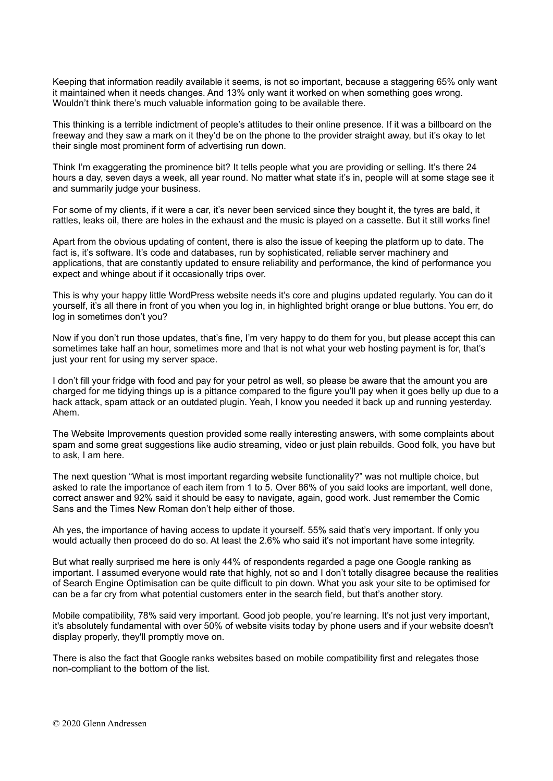Keeping that information readily available it seems, is not so important, because a staggering 65% only want it maintained when it needs changes. And 13% only want it worked on when something goes wrong. Wouldn't think there's much valuable information going to be available there.

This thinking is a terrible indictment of people's attitudes to their online presence. If it was a billboard on the freeway and they saw a mark on it they'd be on the phone to the provider straight away, but it's okay to let their single most prominent form of advertising run down.

Think I'm exaggerating the prominence bit? It tells people what you are providing or selling. It's there 24 hours a day, seven days a week, all year round. No matter what state it's in, people will at some stage see it and summarily judge your business.

For some of my clients, if it were a car, it's never been serviced since they bought it, the tyres are bald, it rattles, leaks oil, there are holes in the exhaust and the music is played on a cassette. But it still works fine!

Apart from the obvious updating of content, there is also the issue of keeping the platform up to date. The fact is, it's software. It's code and databases, run by sophisticated, reliable server machinery and applications, that are constantly updated to ensure reliability and performance, the kind of performance you expect and whinge about if it occasionally trips over.

This is why your happy little WordPress website needs it's core and plugins updated regularly. You can do it yourself, it's all there in front of you when you log in, in highlighted bright orange or blue buttons. You err, do log in sometimes don't you?

Now if you don't run those updates, that's fine, I'm very happy to do them for you, but please accept this can sometimes take half an hour, sometimes more and that is not what your web hosting payment is for, that's just your rent for using my server space.

I don't fill your fridge with food and pay for your petrol as well, so please be aware that the amount you are charged for me tidying things up is a pittance compared to the figure you'll pay when it goes belly up due to a hack attack, spam attack or an outdated plugin. Yeah, I know you needed it back up and running yesterday. Ahem.

The Website Improvements question provided some really interesting answers, with some complaints about spam and some great suggestions like audio streaming, video or just plain rebuilds. Good folk, you have but to ask, I am here.

The next question "What is most important regarding website functionality?" was not multiple choice, but asked to rate the importance of each item from 1 to 5. Over 86% of you said looks are important, well done, correct answer and 92% said it should be easy to navigate, again, good work. Just remember the Comic Sans and the Times New Roman don't help either of those.

Ah yes, the importance of having access to update it yourself. 55% said that's very important. If only you would actually then proceed do do so. At least the 2.6% who said it's not important have some integrity.

But what really surprised me here is only 44% of respondents regarded a page one Google ranking as important. I assumed everyone would rate that highly, not so and I don't totally disagree because the realities of Search Engine Optimisation can be quite difficult to pin down. What you ask your site to be optimised for can be a far cry from what potential customers enter in the search field, but that's another story.

Mobile compatibility, 78% said very important. Good job people, you're learning. It's not just very important, it's absolutely fundamental with over 50% of website visits today by phone users and if your website doesn't display properly, they'll promptly move on.

There is also the fact that Google ranks websites based on mobile compatibility first and relegates those non-compliant to the bottom of the list.